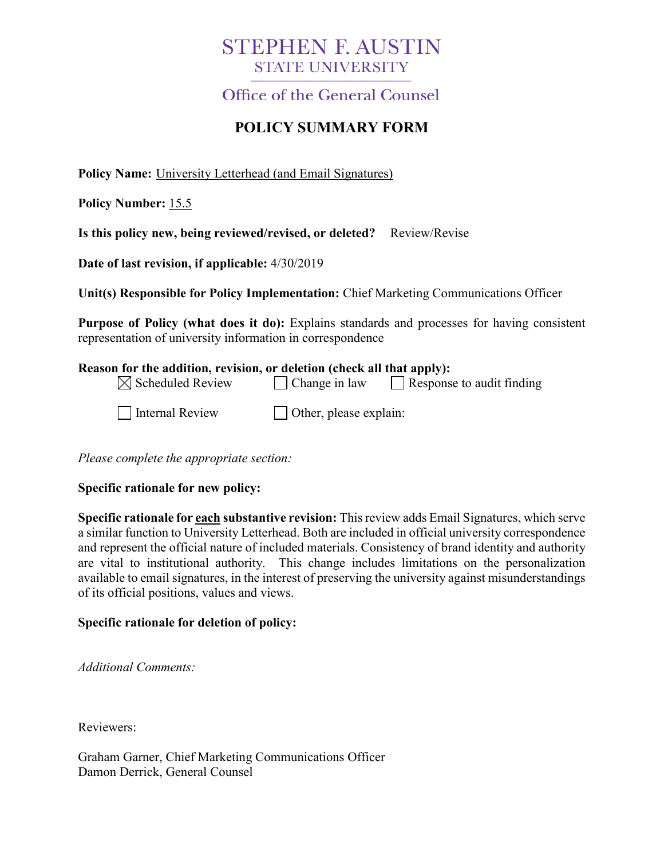## **STEPHEN F. AUSTIN STATE UNIVERSITY**

Office of the General Counsel

## **POLICY SUMMARY FORM**

**Policy Name:** University Letterhead (and Email Signatures)

**Policy Number:** 15.5

**Is this policy new, being reviewed/revised, or deleted?** Review/Revise

**Date of last revision, if applicable:** 4/30/2019

**Unit(s) Responsible for Policy Implementation:** Chief Marketing Communications Officer

**Purpose of Policy (what does it do):** Explains standards and processes for having consistent representation of university information in correspondence

| Reason for the addition, revision, or deletion (check all that apply): |                                                          |  |
|------------------------------------------------------------------------|----------------------------------------------------------|--|
| $\boxtimes$ Scheduled Review                                           | $\Box$ Response to audit finding<br>$\Box$ Change in law |  |
| Internal Review                                                        | $\Box$ Other, please explain:                            |  |

*Please complete the appropriate section:*

**Specific rationale for new policy:**

**Specific rationale for each substantive revision:** This review adds Email Signatures, which serve a similar function to University Letterhead. Both are included in official university correspondence and represent the official nature of included materials. Consistency of brand identity and authority are vital to institutional authority. This change includes limitations on the personalization available to email signatures, in the interest of preserving the university against misunderstandings of its official positions, values and views.

## **Specific rationale for deletion of policy:**

*Additional Comments:*

Reviewers:

Graham Garner, Chief Marketing Communications Officer Damon Derrick, General Counsel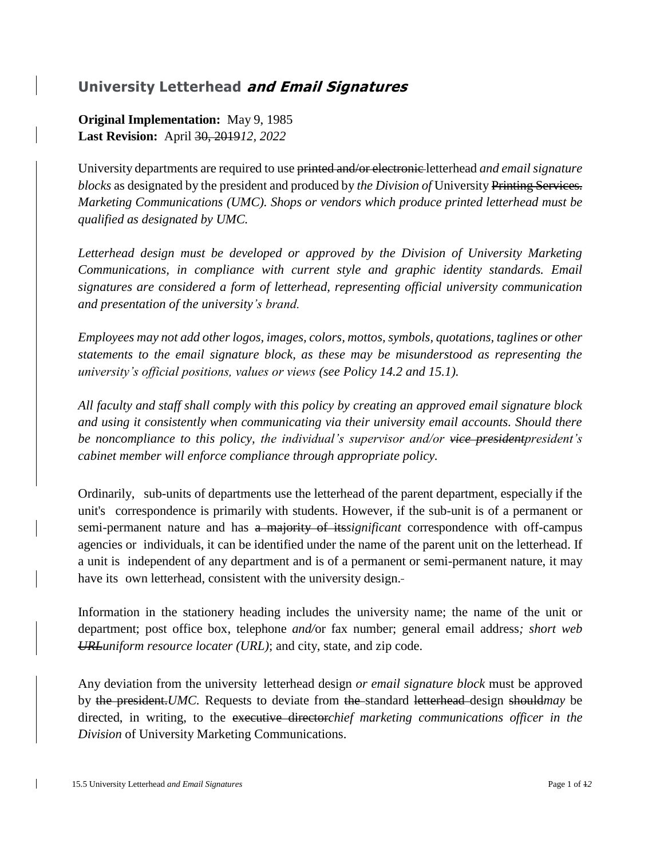## **University Letterhead and Email Signatures**

**Original Implementation:** May 9, 1985 **Last Revision:** April 30, 2019*12, 2022*

University departments are required to use printed and/or electronic letterhead *and email signature blocks* as designated by the president and produced by *the Division of* University Printing Services. *Marketing Communications (UMC). Shops or vendors which produce printed letterhead must be qualified as designated by UMC.*

*Letterhead design must be developed or approved by the Division of University Marketing Communications, in compliance with current style and graphic identity standards. Email signatures are considered a form of letterhead, representing official university communication and presentation of the university's brand.*

*Employees may not add other logos, images, colors, mottos, symbols, quotations, taglines or other statements to the email signature block, as these may be misunderstood as representing the university's official positions, values or views (see Policy 14.2 and 15.1).*

*All faculty and staff shall comply with this policy by creating an approved email signature block and using it consistently when communicating via their university email accounts. Should there be noncompliance to this policy, the individual's supervisor and/or vice presidentpresident's cabinet member will enforce compliance through appropriate policy.*

Ordinarily, sub-units of departments use the letterhead of the parent department, especially if the unit's correspondence is primarily with students. However, if the sub-unit is of a permanent or semi-permanent nature and has a majority of its*significant* correspondence with off-campus agencies or individuals, it can be identified under the name of the parent unit on the letterhead. If a unit is independent of any department and is of a permanent or semi-permanent nature, it may have its own letterhead, consistent with the university design.

Information in the stationery heading includes the university name; the name of the unit or department; post office box, telephone *and/*or fax number; general email address*; short web URLuniform resource locater (URL)*; and city, state, and zip code.

Any deviation from the university letterhead design *or email signature block* must be approved by the president.*UMC.* Requests to deviate from the standard letterhead design should*may* be directed, in writing, to the executive director*chief marketing communications officer in the Division* of University Marketing Communications.